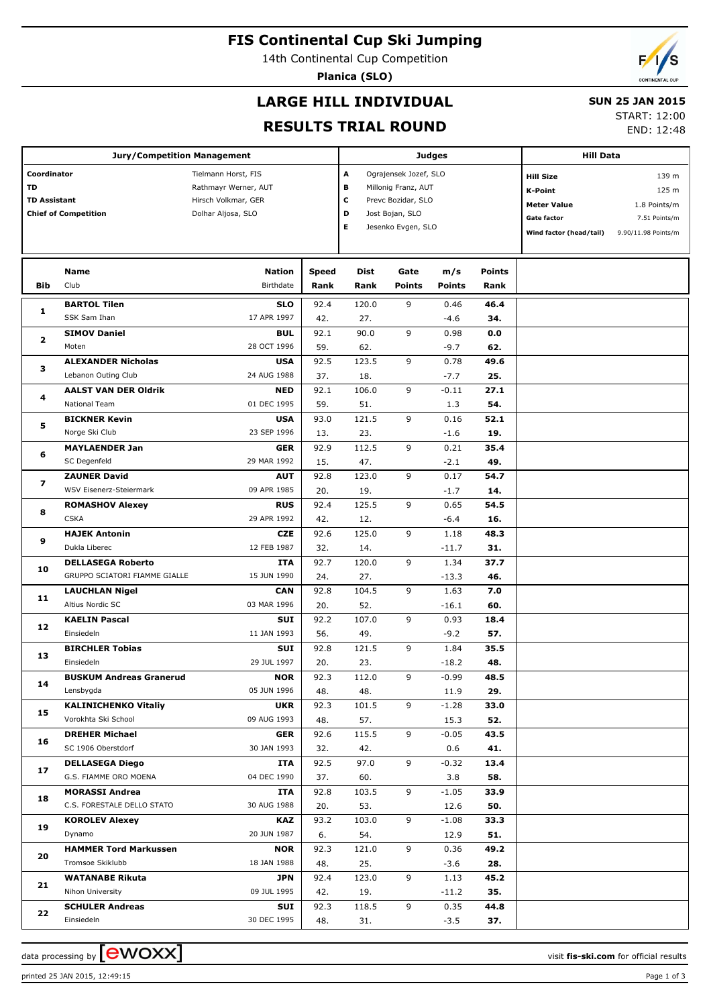## **FIS Continental Cup Ski Jumping**

14th Continental Cup Competition

**Planica (SLO)**



### **LARGE HILL INDIVIDUAL**

#### **SUN 25 JAN 2015**

### **RESULTS TRIAL ROUND**

START: 12:00

|                                                                         | <b>Jury/Competition Management</b>           |                                                                                          |              |                                                                                                                                      |               | <b>Judges</b>  |               | <b>Hill Data</b>                                                                                          |                                                                        |
|-------------------------------------------------------------------------|----------------------------------------------|------------------------------------------------------------------------------------------|--------------|--------------------------------------------------------------------------------------------------------------------------------------|---------------|----------------|---------------|-----------------------------------------------------------------------------------------------------------|------------------------------------------------------------------------|
| Coordinator<br>TD<br><b>TD Assistant</b><br><b>Chief of Competition</b> |                                              | Tielmann Horst, FIS<br>Rathmayr Werner, AUT<br>Hirsch Volkmar, GER<br>Dolhar Aljosa, SLO |              | A<br>Ograjensek Jozef, SLO<br>в<br>Millonig Franz, AUT<br>c<br>Prevc Bozidar, SLO<br>D<br>Jost Bojan, SLO<br>Е<br>Jesenko Evgen, SLO |               |                |               | <b>Hill Size</b><br><b>K-Point</b><br><b>Meter Value</b><br><b>Gate factor</b><br>Wind factor (head/tail) | 139 m<br>125 m<br>1.8 Points/m<br>7.51 Points/m<br>9.90/11.98 Points/m |
|                                                                         | Name<br>Club                                 | <b>Nation</b><br>Birthdate                                                               | <b>Speed</b> | Dist                                                                                                                                 | Gate          | m/s            | <b>Points</b> |                                                                                                           |                                                                        |
| Bib                                                                     |                                              |                                                                                          | Rank         | Rank                                                                                                                                 | <b>Points</b> | <b>Points</b>  | Rank          |                                                                                                           |                                                                        |
| 1                                                                       | <b>BARTOL Tilen</b>                          | <b>SLO</b>                                                                               | 92.4         | 120.0                                                                                                                                | 9             | 0.46           | 46.4          |                                                                                                           |                                                                        |
|                                                                         | SSK Sam Ihan                                 | 17 APR 1997                                                                              | 42.          | 27.                                                                                                                                  |               | $-4.6$         | 34.           |                                                                                                           |                                                                        |
| $\mathbf{z}$                                                            | <b>SIMOV Daniel</b>                          | <b>BUL</b>                                                                               | 92.1         | 90.0                                                                                                                                 | 9             | 0.98           | 0.0           |                                                                                                           |                                                                        |
|                                                                         | Moten                                        | 28 OCT 1996                                                                              | 59.          | 62.                                                                                                                                  |               | $-9.7$         | 62.           |                                                                                                           |                                                                        |
| 3                                                                       | <b>ALEXANDER Nicholas</b>                    | <b>USA</b>                                                                               | 92.5         | 123.5                                                                                                                                | 9             | 0.78           | 49.6          |                                                                                                           |                                                                        |
|                                                                         | Lebanon Outing Club                          | 24 AUG 1988                                                                              | 37.          | 18.                                                                                                                                  |               | $-7.7$         | 25.           |                                                                                                           |                                                                        |
| 4                                                                       | <b>AALST VAN DER Oldrik</b><br>National Team | <b>NED</b><br>01 DEC 1995                                                                | 92.1         | 106.0                                                                                                                                | 9             | $-0.11$        | 27.1<br>54.   |                                                                                                           |                                                                        |
|                                                                         | <b>BICKNER Kevin</b>                         | <b>USA</b>                                                                               | 59.<br>93.0  | 51.<br>121.5                                                                                                                         | 9             | 1.3<br>0.16    | 52.1          |                                                                                                           |                                                                        |
| 5                                                                       | Norge Ski Club                               | 23 SEP 1996                                                                              | 13.          | 23.                                                                                                                                  |               |                | 19.           |                                                                                                           |                                                                        |
|                                                                         | <b>MAYLAENDER Jan</b>                        | <b>GER</b>                                                                               | 92.9         | 112.5                                                                                                                                | 9             | $-1.6$<br>0.21 | 35.4          |                                                                                                           |                                                                        |
| 6                                                                       | SC Degenfeld                                 | 29 MAR 1992                                                                              | 15.          | 47.                                                                                                                                  |               | $-2.1$         | 49.           |                                                                                                           |                                                                        |
|                                                                         | <b>ZAUNER David</b>                          | <b>AUT</b>                                                                               | 92.8         | 123.0                                                                                                                                | 9             | 0.17           | 54.7          |                                                                                                           |                                                                        |
| 7                                                                       | WSV Eisenerz-Steiermark                      | 09 APR 1985                                                                              | 20.          | 19.                                                                                                                                  |               | $-1.7$         | 14.           |                                                                                                           |                                                                        |
|                                                                         | <b>ROMASHOV Alexey</b>                       | <b>RUS</b>                                                                               | 92.4         | 125.5                                                                                                                                | 9             | 0.65           | 54.5          |                                                                                                           |                                                                        |
| 8                                                                       | <b>CSKA</b>                                  | 29 APR 1992                                                                              | 42.          | 12.                                                                                                                                  |               | $-6.4$         | 16.           |                                                                                                           |                                                                        |
| 9                                                                       | <b>HAJEK Antonin</b>                         | <b>CZE</b>                                                                               | 92.6         | 125.0                                                                                                                                | 9             | 1.18           | 48.3          |                                                                                                           |                                                                        |
|                                                                         | Dukla Liberec                                | 12 FEB 1987                                                                              | 32.          | 14.                                                                                                                                  |               | $-11.7$        | 31.           |                                                                                                           |                                                                        |
|                                                                         | <b>DELLASEGA Roberto</b>                     | ITA                                                                                      | 92.7         | 120.0                                                                                                                                | 9             | 1.34           | 37.7          |                                                                                                           |                                                                        |
| 10                                                                      | GRUPPO SCIATORI FIAMME GIALLE                | 15 JUN 1990                                                                              | 24.          | 27.                                                                                                                                  |               | $-13.3$        | 46.           |                                                                                                           |                                                                        |
|                                                                         | <b>LAUCHLAN Nigel</b>                        | <b>CAN</b>                                                                               | 92.8         | 104.5                                                                                                                                | 9             | 1.63           | 7.0           |                                                                                                           |                                                                        |
| 11                                                                      | Altius Nordic SC                             | 03 MAR 1996                                                                              | 20.          | 52.                                                                                                                                  |               | $-16.1$        | 60.           |                                                                                                           |                                                                        |
|                                                                         | <b>KAELIN Pascal</b>                         | <b>SUI</b>                                                                               | 92.2         | 107.0                                                                                                                                | 9             | 0.93           | 18.4          |                                                                                                           |                                                                        |
| 12                                                                      | Einsiedeln                                   | 11 JAN 1993                                                                              | 56.          | 49.                                                                                                                                  |               | $-9.2$         | 57.           |                                                                                                           |                                                                        |
|                                                                         | <b>BIRCHLER Tobias</b>                       | <b>SUI</b>                                                                               | 92.8         | 121.5                                                                                                                                | 9             | 1.84           | 35.5          |                                                                                                           |                                                                        |
| 13                                                                      | Einsiedeln                                   | 29 JUL 1997                                                                              | 20.          | 23.                                                                                                                                  |               | $-18.2$        | 48.           |                                                                                                           |                                                                        |
|                                                                         | <b>BUSKUM Andreas Granerud</b>               | <b>NOR</b>                                                                               | 92.3         | 112.0                                                                                                                                | 9             | $-0.99$        | 48.5          |                                                                                                           |                                                                        |
| 14                                                                      | Lensbygda                                    | 05 JUN 1996                                                                              | 48.          | 48.                                                                                                                                  |               | 11.9           | 29.           |                                                                                                           |                                                                        |
|                                                                         | <b>KALINICHENKO Vitaliy</b>                  | <b>UKR</b>                                                                               | 92.3         | 101.5                                                                                                                                | 9             | $-1.28$        | 33.0          |                                                                                                           |                                                                        |
| 15                                                                      | Vorokhta Ski School                          | 09 AUG 1993                                                                              | 48.          | 57.                                                                                                                                  |               | 15.3           | 52.           |                                                                                                           |                                                                        |
|                                                                         | <b>DREHER Michael</b>                        | GER                                                                                      | 92.6         | 115.5                                                                                                                                | 9             | $-0.05$        | 43.5          |                                                                                                           |                                                                        |
| 16                                                                      | SC 1906 Oberstdorf                           | 30 JAN 1993                                                                              | 32.          | 42.                                                                                                                                  |               | 0.6            | 41.           |                                                                                                           |                                                                        |
| 17                                                                      | <b>DELLASEGA Diego</b>                       | ITA                                                                                      | 92.5         | 97.0                                                                                                                                 | 9             | $-0.32$        | 13.4          |                                                                                                           |                                                                        |
|                                                                         | G.S. FIAMME ORO MOENA                        | 04 DEC 1990                                                                              | 37.          | 60.                                                                                                                                  |               | 3.8            | 58.           |                                                                                                           |                                                                        |
|                                                                         | <b>MORASSI Andrea</b>                        | ITA                                                                                      | 92.8         | 103.5                                                                                                                                | 9             | $-1.05$        | 33.9          |                                                                                                           |                                                                        |
| 18                                                                      | C.S. FORESTALE DELLO STATO                   | 30 AUG 1988                                                                              | 20.          | 53.                                                                                                                                  |               | 12.6           | 50.           |                                                                                                           |                                                                        |
| 19                                                                      | <b>KOROLEV Alexey</b>                        | KAZ                                                                                      | 93.2         | 103.0                                                                                                                                | 9             | $-1.08$        | 33.3          |                                                                                                           |                                                                        |
|                                                                         | Dynamo                                       | 20 JUN 1987                                                                              | 6.           | 54.                                                                                                                                  |               | 12.9           | 51.           |                                                                                                           |                                                                        |
| 20                                                                      | <b>HAMMER Tord Markussen</b>                 | <b>NOR</b>                                                                               | 92.3         | 121.0                                                                                                                                | 9             | 0.36           | 49.2          |                                                                                                           |                                                                        |
|                                                                         | Tromsoe Skiklubb                             | 18 JAN 1988                                                                              | 48.          | 25.                                                                                                                                  |               | $-3.6$         | 28.           |                                                                                                           |                                                                        |
| 21                                                                      | <b>WATANABE Rikuta</b>                       | JPN                                                                                      | 92.4         | 123.0                                                                                                                                | 9             | 1.13           | 45.2          |                                                                                                           |                                                                        |
|                                                                         | Nihon University                             | 09 JUL 1995                                                                              | 42.          | 19.                                                                                                                                  |               | -11.2          | 35.           |                                                                                                           |                                                                        |
|                                                                         | <b>SCHULER Andreas</b>                       | SUI                                                                                      | 92.3         | 118.5                                                                                                                                | 9             | 0.35           | 44.8          |                                                                                                           |                                                                        |
| 22                                                                      | Einsiedeln                                   | 30 DEC 1995                                                                              | 48.          | 31.                                                                                                                                  |               | $-3.5$         | 37.           |                                                                                                           |                                                                        |

data processing by **CWOXX** and  $\overline{C}$  and  $\overline{C}$  and  $\overline{C}$  and  $\overline{C}$  and  $\overline{C}$  and  $\overline{C}$  and  $\overline{C}$  and  $\overline{C}$  and  $\overline{C}$  and  $\overline{C}$  and  $\overline{C}$  and  $\overline{C}$  and  $\overline{C}$  and  $\overline{C}$  and  $\overline{C}$ 

printed 25 JAN 2015, 12:49:15 Page 1 of 3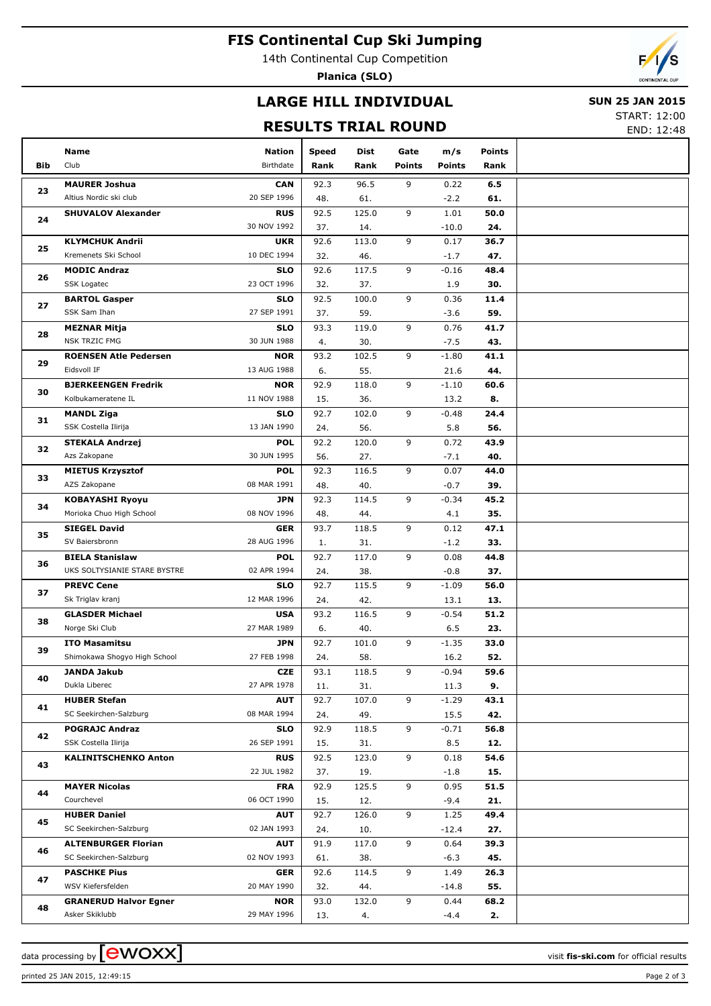### **FIS Continental Cup Ski Jumping**

14th Continental Cup Competition

**Planica (SLO)**



# **LARGE HILL INDIVIDUAL**

#### **SUN 25 JAN 2015**

**RESULTS TRIAL ROUND**

START: 12:00 END: 12:48

|            | Name                                   | <b>Nation</b>             | Speed       | Dist         | Gate          | m/s            | Points      |  |
|------------|----------------------------------------|---------------------------|-------------|--------------|---------------|----------------|-------------|--|
| <b>Bib</b> | Club                                   | Birthdate                 | Rank        | Rank         | <b>Points</b> | <b>Points</b>  | Rank        |  |
|            | <b>MAURER Joshua</b>                   | <b>CAN</b>                | 92.3        | 96.5         | 9             | 0.22           | 6.5         |  |
| 23         | Altius Nordic ski club                 | 20 SEP 1996               | 48.         | 61.          |               | $-2.2$         | 61.         |  |
|            | <b>SHUVALOV Alexander</b>              | <b>RUS</b>                | 92.5        | 125.0        | 9             | 1.01           | 50.0        |  |
| 24         |                                        | 30 NOV 1992               | 37.         | 14.          |               | $-10.0$        | 24.         |  |
| 25         | <b>KLYMCHUK Andrii</b>                 | <b>UKR</b>                | 92.6        | 113.0        | 9             | 0.17           | 36.7        |  |
|            | Kremenets Ski School                   | 10 DEC 1994               | 32.         | 46.          |               | $-1.7$         | 47.         |  |
| 26         | <b>MODIC Andraz</b>                    | <b>SLO</b>                | 92.6        | 117.5        | 9             | $-0.16$        | 48.4        |  |
|            | <b>SSK Logatec</b>                     | 23 OCT 1996               | 32.         | 37.          |               | 1.9            | 30.         |  |
| 27         | <b>BARTOL Gasper</b>                   | <b>SLO</b>                | 92.5        | 100.0        | 9             | 0.36           | 11.4        |  |
|            | SSK Sam Ihan                           | 27 SEP 1991               | 37.         | 59.          |               | $-3.6$         | 59.         |  |
| 28         | <b>MEZNAR Mitja</b>                    | <b>SLO</b>                | 93.3        | 119.0        | 9             | 0.76           | 41.7        |  |
|            | <b>NSK TRZIC FMG</b>                   | 30 JUN 1988               | 4.          | 30.          |               | $-7.5$         | 43.         |  |
| 29         | <b>ROENSEN Atle Pedersen</b>           | <b>NOR</b>                | 93.2        | 102.5        | 9             | $-1.80$        | 41.1        |  |
|            | Eidsvoll IF                            | 13 AUG 1988               | 6.          | 55.          |               | 21.6           | 44.         |  |
| 30         | <b>BJERKEENGEN Fredrik</b>             | <b>NOR</b>                | 92.9        | 118.0        | 9             | $-1.10$        | 60.6        |  |
|            | Kolbukameratene IL                     | 11 NOV 1988               | 15.         | 36.          |               | 13.2           | 8.          |  |
| 31         | <b>MANDL Ziga</b>                      | <b>SLO</b><br>13 JAN 1990 | 92.7        | 102.0        | 9             | $-0.48$        | 24.4        |  |
|            | SSK Costella Ilirija                   |                           | 24.         | 56.          |               | 5.8            | 56.         |  |
| 32         | <b>STEKALA Andrzej</b><br>Azs Zakopane | <b>POL</b><br>30 JUN 1995 | 92.2        | 120.0        | 9             | 0.72           | 43.9<br>40. |  |
|            | <b>MIETUS Krzysztof</b>                | <b>POL</b>                | 56.<br>92.3 | 27.<br>116.5 | 9             | $-7.1$<br>0.07 | 44.0        |  |
| 33         | AZS Zakopane                           | 08 MAR 1991               | 48.         | 40.          |               | $-0.7$         | 39.         |  |
|            | <b>KOBAYASHI Ryoyu</b>                 | <b>JPN</b>                | 92.3        | 114.5        | 9             | $-0.34$        | 45.2        |  |
| 34         | Morioka Chuo High School               | 08 NOV 1996               | 48.         | 44.          |               | 4.1            | 35.         |  |
|            | <b>SIEGEL David</b>                    | <b>GER</b>                | 93.7        | 118.5        | 9             | 0.12           | 47.1        |  |
| 35         | SV Baiersbronn                         | 28 AUG 1996               | 1.          | 31.          |               | $-1.2$         | 33.         |  |
|            | <b>BIELA Stanislaw</b>                 | <b>POL</b>                | 92.7        | 117.0        | 9             | 0.08           | 44.8        |  |
| 36         | UKS SOLTYSIANIE STARE BYSTRE           | 02 APR 1994               | 24.         | 38.          |               | $-0.8$         | 37.         |  |
|            | <b>PREVC Cene</b>                      | <b>SLO</b>                | 92.7        | 115.5        | 9             | $-1.09$        | 56.0        |  |
| 37         | Sk Triglav kranj                       | 12 MAR 1996               | 24.         | 42.          |               | 13.1           | 13.         |  |
| 38         | <b>GLASDER Michael</b>                 | <b>USA</b>                | 93.2        | 116.5        | 9             | $-0.54$        | 51.2        |  |
|            | Norge Ski Club                         | 27 MAR 1989               | 6.          | 40.          |               | 6.5            | 23.         |  |
| 39         | <b>ITO Masamitsu</b>                   | <b>JPN</b>                | 92.7        | 101.0        | 9             | $-1.35$        | 33.0        |  |
|            | Shimokawa Shogyo High School           | 27 FEB 1998               | 24.         | 58.          |               | 16.2           | 52.         |  |
| 40         | JANDA Jakub                            | <b>CZE</b>                | 93.1        | 118.5        | 9             | $-0.94$        | 59.6        |  |
|            | Dukla Liberec                          | 27 APR 1978               | 11.         | 31.          |               | 11.3           | 9.          |  |
| 41         | <b>HUBER Stefan</b>                    | <b>AUT</b>                | 92.7        | 107.0        | 9             | $-1.29$        | 43.1        |  |
|            | SC Seekirchen-Salzburg                 | 08 MAR 1994               | 24.         | 49.          |               | 15.5           | 42.         |  |
| 42         | <b>POGRAJC Andraz</b>                  | <b>SLO</b>                | 92.9        | 118.5        | 9             | $-0.71$        | 56.8        |  |
|            | SSK Costella Ilirija                   | 26 SEP 1991               | 15.         | 31.          |               | 8.5            | 12.         |  |
| 43         | <b>KALINITSCHENKO Anton</b>            | <b>RUS</b><br>22 JUL 1982 | 92.5<br>37. | 123.0        | 9             | 0.18<br>$-1.8$ | 54.6<br>15. |  |
|            | <b>MAYER Nicolas</b>                   | <b>FRA</b>                | 92.9        | 19.<br>125.5 | 9             | 0.95           | 51.5        |  |
| 44         | Courchevel                             | 06 OCT 1990               | 15.         | 12.          |               | $-9.4$         | 21.         |  |
|            | <b>HUBER Daniel</b>                    | <b>AUT</b>                | 92.7        | 126.0        | 9             | 1.25           | 49.4        |  |
| 45         | SC Seekirchen-Salzburg                 | 02 JAN 1993               | 24.         | 10.          |               | $-12.4$        | 27.         |  |
|            | <b>ALTENBURGER Florian</b>             | <b>AUT</b>                | 91.9        | 117.0        | 9             | 0.64           | 39.3        |  |
| 46         | SC Seekirchen-Salzburg                 | 02 NOV 1993               | 61.         | 38.          |               | $-6.3$         | 45.         |  |
|            | <b>PASCHKE Pius</b>                    | <b>GER</b>                | 92.6        | 114.5        | 9             | 1.49           | 26.3        |  |
| 47         | WSV Kiefersfelden                      | 20 MAY 1990               | 32.         | 44.          |               | $-14.8$        | 55.         |  |
|            | <b>GRANERUD Halvor Egner</b>           | <b>NOR</b>                | 93.0        | 132.0        | 9             | 0.44           | 68.2        |  |
| 48         | Asker Skiklubb                         | 29 MAY 1996               | 13.         | 4.           |               | $-4.4$         | 2.          |  |

data processing by  $\boxed{\text{ewOX}}$